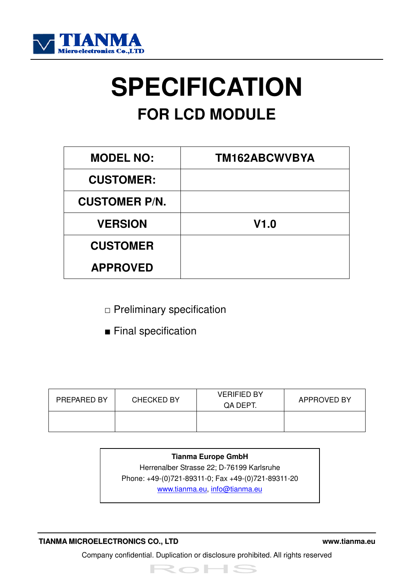

# **SPECIFICATION FOR LCD MODULE**

| <b>MODEL NO:</b>     | TM162ABCWVBYA |
|----------------------|---------------|
| <b>CUSTOMER:</b>     |               |
| <b>CUSTOMER P/N.</b> |               |
| <b>VERSION</b>       | V1.0          |
| <b>CUSTOMER</b>      |               |
| <b>APPROVED</b>      |               |

- □ Preliminary specification
- Final specification

| PREPARED BY | <b>CHECKED BY</b> | <b>VERIFIED BY</b><br>QA DEPT. | <b>APPROVED BY</b> |
|-------------|-------------------|--------------------------------|--------------------|
|             |                   |                                |                    |

**Tianma Europe GmbH**  Herrenalber Strasse 22; D-76199 Karlsruhe Phone: +49-(0)721-89311-0; Fax +49-(0)721-89311-20 www.tianma.eu, info@tianma.eu

#### **TIANMA MICROELECTRONICS CO., LTD www.tianma.eu**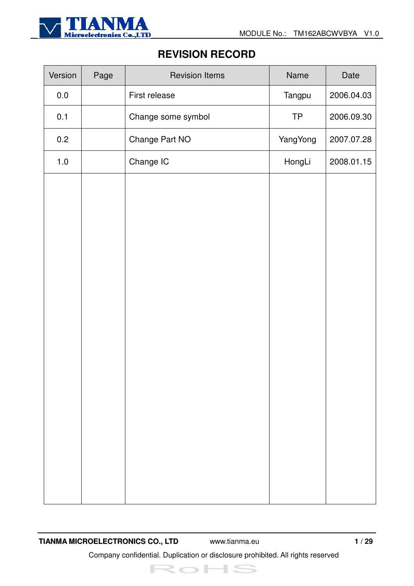

## **REVISION RECORD**

| Version | Page | <b>Revision Items</b> | Name      | Date       |
|---------|------|-----------------------|-----------|------------|
| $0.0\,$ |      | First release         | Tangpu    | 2006.04.03 |
| 0.1     |      | Change some symbol    | <b>TP</b> | 2006.09.30 |
| 0.2     |      | Change Part NO        | YangYong  | 2007.07.28 |
| $1.0$   |      | Change IC             | HongLi    | 2008.01.15 |
|         |      |                       |           |            |
|         |      |                       |           |            |
|         |      |                       |           |            |
|         |      |                       |           |            |
|         |      |                       |           |            |
|         |      |                       |           |            |
|         |      |                       |           |            |
|         |      |                       |           |            |
|         |      |                       |           |            |
|         |      |                       |           |            |
|         |      |                       |           |            |
|         |      |                       |           |            |
|         |      |                       |           |            |
|         |      |                       |           |            |
|         |      |                       |           |            |

**TIANMA MICROELECTRONICS CO., LTD** www.tianma.eu **1 / 29**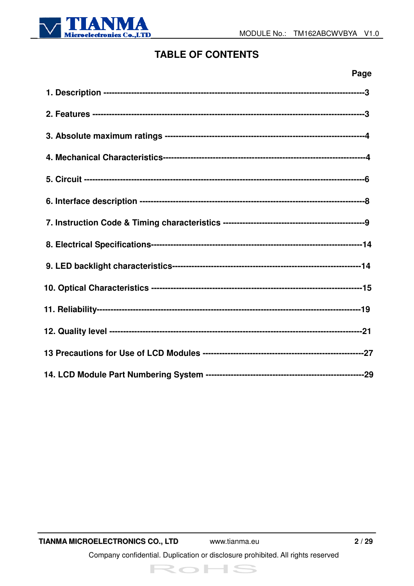

## **TABLE OF CONTENTS**

| Page |
|------|
|      |
|      |
|      |
|      |
|      |
|      |
|      |
|      |
|      |
|      |
|      |
|      |
|      |
|      |



 $2/29$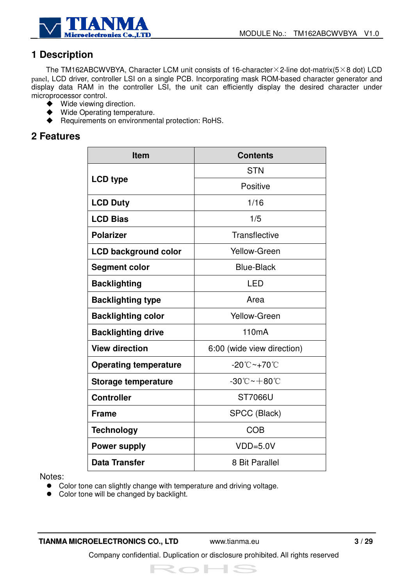

## **1 Description**

The TM162ABCWVBYA, Character LCM unit consists of 16-character $\times$ 2-line dot-matrix(5 $\times$ 8 dot) LCD panel, LCD driver, controller LSI on a single PCB. Incorporating mask ROM-based character generator and display data RAM in the controller LSI, the unit can efficiently display the desired character under microprocessor control.

- Wide viewing direction.
- ◆ Wide Operating temperature.<br>◆ Requirements on environmen
- ! Requirements on environmental protection: RoHS.

#### **2 Features**

| <b>Item</b>                  | <b>Contents</b>                                  |
|------------------------------|--------------------------------------------------|
|                              | <b>STN</b>                                       |
| <b>LCD type</b>              | Positive                                         |
| <b>LCD Duty</b>              | 1/16                                             |
| <b>LCD Bias</b>              | 1/5                                              |
| <b>Polarizer</b>             | <b>Transflective</b>                             |
| <b>LCD background color</b>  | Yellow-Green                                     |
| <b>Segment color</b>         | <b>Blue-Black</b>                                |
| <b>Backlighting</b>          | <b>LED</b>                                       |
| <b>Backlighting type</b>     | Area                                             |
| <b>Backlighting color</b>    | <b>Yellow-Green</b>                              |
| <b>Backlighting drive</b>    | 110 <sub>m</sub> A                               |
| <b>View direction</b>        | 6:00 (wide view direction)                       |
| <b>Operating temperature</b> | $-20^{\circ}\text{C}-+70^{\circ}\text{C}$        |
| <b>Storage temperature</b>   | $-30^{\circ}\mathrm{C}\sim+80^{\circ}\mathrm{C}$ |
| <b>Controller</b>            | ST7066U                                          |
| <b>Frame</b>                 | SPCC (Black)                                     |
| <b>Technology</b>            | <b>COB</b>                                       |
| <b>Power supply</b>          | $VDD=5.0V$                                       |
| <b>Data Transfer</b>         | 8 Bit Parallel                                   |

Notes:

- Color tone can slightly change with temperature and driving voltage.
- Color tone will be changed by backlight.

**TIANMA MICROELECTRONICS CO., LTD** www.tianma.eu **3 / 29**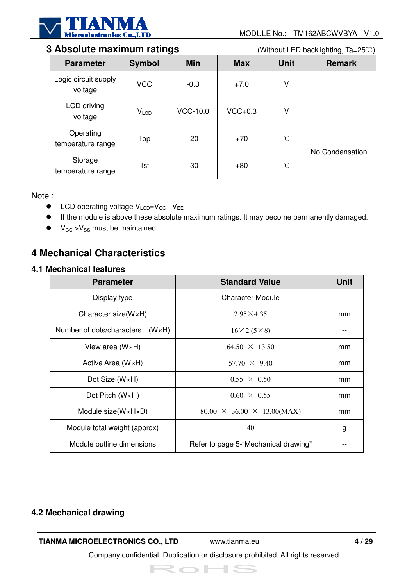

#### **3 Absolute maximum ratings** (Without LED backlighting, Ta=25°C)

| <b>Parameter</b>                | <b>Symbol</b>    | <b>Min</b> | <b>Max</b> | <b>Unit</b>     | <b>Remark</b>   |
|---------------------------------|------------------|------------|------------|-----------------|-----------------|
| Logic circuit supply<br>voltage | <b>VCC</b>       | $-0.3$     | $+7.0$     | ٧               |                 |
| LCD driving<br>voltage          | V <sub>LCD</sub> | VCC-10.0   | $VCC+0.3$  | ٧               |                 |
| Operating<br>temperature range  | Top              | $-20$      | $+70$      | $\rm ^{\circ}C$ | No Condensation |
| Storage<br>temperature range    | <b>Tst</b>       | $-30$      | $+80$      | $\rm ^{\circ}C$ |                 |

Note :

- $\bullet$  LCD operating voltage V<sub>LCD</sub>=V<sub>CC</sub> -V<sub>EE</sub>
- " If the module is above these absolute maximum ratings. It may become permanently damaged.
- $\bullet$   $V_{CC} > V_{SS}$  must be maintained.

## **4 Mechanical Characteristics**

#### **4.1 Mechanical features**

| <b>Parameter</b>                            | <b>Standard Value</b>                  | <b>Unit</b> |
|---------------------------------------------|----------------------------------------|-------------|
| Display type                                | Character Module                       |             |
| Character size( $W \times H$ )              | $2.95\times4.35$                       | mm          |
| Number of dots/characters<br>$(W \times H)$ | $16\times2(5\times8)$                  |             |
| View area $(W \times H)$                    | $64.50 \times 13.50$                   | mm          |
| Active Area $(W \times H)$                  | $57.70 \times 9.40$                    | mm          |
| Dot Size $(W \times H)$                     | $0.55 \times 0.50$                     | mm          |
| Dot Pitch $(W \times H)$                    | $0.60 \times 0.55$                     | mm          |
| Module size( $W \times H \times D$ )        | $80.00 \times 36.00 \times 13.00(MAX)$ | mm          |
| Module total weight (approx)                | 40                                     | g           |
| Module outline dimensions                   | Refer to page 5-"Mechanical drawing"   |             |

#### **4.2 Mechanical drawing**

#### **TIANMA MICROELECTRONICS CO., LTD** www.tianma.eu **4 / 29**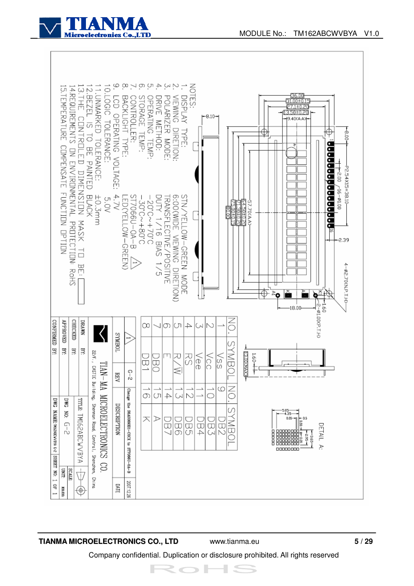



#### **TIANMA MICROELECTRONICS CO., LTD** www.tianma.eu **5 / 29**

Company confidential. Duplication or disclosure prohibited. All rights reserved

ミー

 $\overline{\phantom{a}}$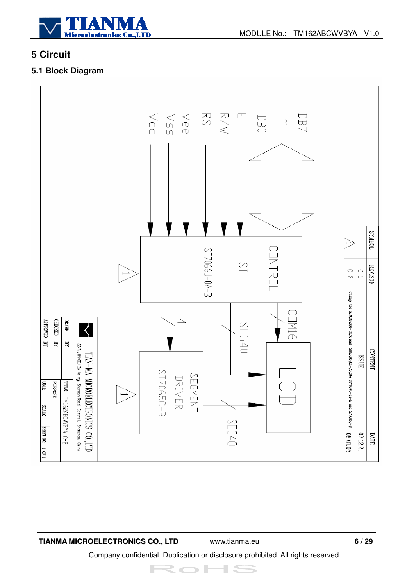

## **5 Circuit**

#### **5.1 Block Diagram**



**TIANMA MICROELECTRONICS CO., LTD** www.tianma.eu **6 / 29**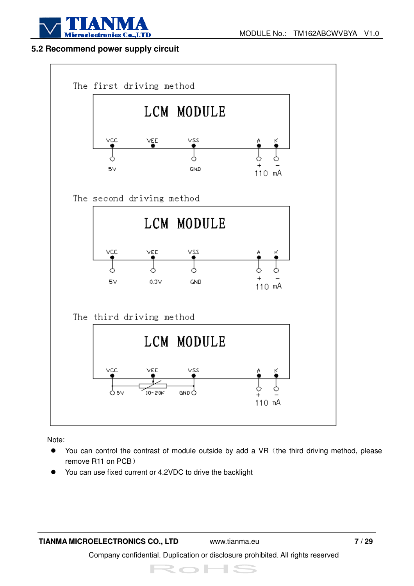

#### **5.2 Recommend power supply circuit**



Note:

- You can control the contrast of module outside by add a VR (the third driving method, please remove R11 on PCB)
- You can use fixed current or 4.2VDC to drive the backlight

**TIANMA MICROELECTRONICS CO., LTD** www.tianma.eu **7 / 29**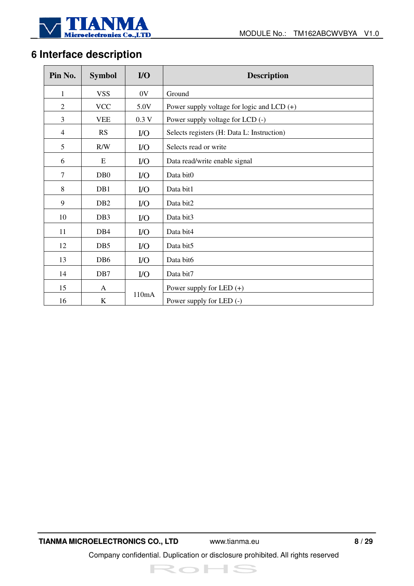

## **6 Interface description**

| Pin No.        | <b>Symbol</b>    | $U$   | <b>Description</b>                           |  |  |  |  |  |
|----------------|------------------|-------|----------------------------------------------|--|--|--|--|--|
| 1              | <b>VSS</b>       | 0V    | Ground                                       |  |  |  |  |  |
| $\overline{2}$ | <b>VCC</b>       | 5.0V  | Power supply voltage for logic and LCD $(+)$ |  |  |  |  |  |
| 3              | <b>VEE</b>       | 0.3V  | Power supply voltage for LCD (-)             |  |  |  |  |  |
| $\overline{4}$ | RS               | $IO$  | Selects registers (H: Data L: Instruction)   |  |  |  |  |  |
| 5              | R/W              | $IO$  | Selects read or write                        |  |  |  |  |  |
| 6              | E                | $IO$  | Data read/write enable signal                |  |  |  |  |  |
| $\tau$         | D <sub>B</sub> 0 | $1/O$ | Data bit0                                    |  |  |  |  |  |
| 8              | DB1              | $IO$  | Data bit1                                    |  |  |  |  |  |
| 9              | DB <sub>2</sub>  | $IO$  | Data bit2                                    |  |  |  |  |  |
| 10             | DB <sub>3</sub>  | $IO$  | Data bit3                                    |  |  |  |  |  |
| 11             | DB <sub>4</sub>  | $IO$  | Data bit4                                    |  |  |  |  |  |
| 12             | DB5              | $IO$  | Data bit5                                    |  |  |  |  |  |
| 13             | DB <sub>6</sub>  | $IO$  | Data bit6                                    |  |  |  |  |  |
| 14             | DB7              | $IO$  | Data bit7                                    |  |  |  |  |  |
| 15             | A                |       | Power supply for LED $(+)$                   |  |  |  |  |  |
| 16             | $\bf K$          | 110mA | Power supply for LED (-)                     |  |  |  |  |  |

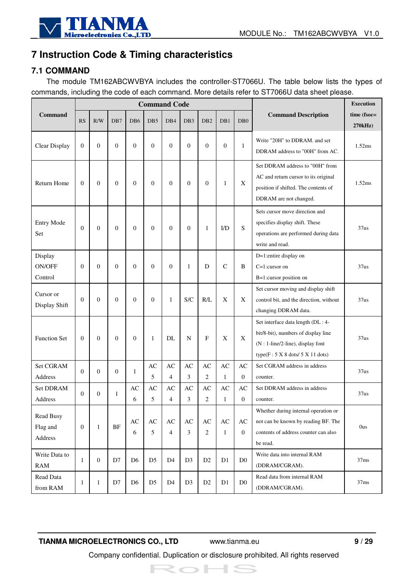

## **7 Instruction Code & Timing characteristics**

#### **7.1 COMMAND**

The module TM162ABCWVBYA includes the controller-ST7066U. The table below lists the types of commands, including the code of each command. More details refer to ST7066U data sheet please.

|                                     |                  |                  |                |                             | <b>Command Code</b>                  |                      |                             |                                          |                                        |                        |                                                                                                                                                     | <b>Execution</b>       |
|-------------------------------------|------------------|------------------|----------------|-----------------------------|--------------------------------------|----------------------|-----------------------------|------------------------------------------|----------------------------------------|------------------------|-----------------------------------------------------------------------------------------------------------------------------------------------------|------------------------|
| <b>Command</b>                      | <b>RS</b>        | R/W              | DB7            | D <sub>B6</sub>             | DB5                                  | DB4                  | DB <sub>3</sub>             | DB <sub>2</sub>                          | DB1                                    | D <sub>B</sub> 0       | <b>Command Description</b>                                                                                                                          | time (fsoc=<br>270kHz) |
| Clear Display                       | $\Omega$         | $\theta$         | $\overline{0}$ | $\Omega$                    | $\Omega$                             | $\theta$             | $\Omega$                    | $\theta$                                 | $\mathbf{0}$                           | $\mathbf{1}$           | Write "20H" to DDRAM. and set<br>DDRAM address to "00H" from AC.                                                                                    | 1.52ms                 |
| Return Home                         | $\theta$         | $\mathbf{0}$     | $\mathbf{0}$   | $\mathbf{0}$                | $\overline{0}$                       | $\theta$             | $\Omega$                    | $\theta$                                 | 1                                      | X                      | Set DDRAM address to "00H" from<br>AC and return cursor to its original<br>position if shifted. The contents of<br>DDRAM are not changed.           | 1.52ms                 |
| <b>Entry Mode</b><br>Set            | $\overline{0}$   | $\theta$         | $\mathbf{0}$   | $\overline{0}$              | $\overline{0}$                       | $\mathbf{0}$         | $\mathbf{0}$                | 1                                        | I/D                                    | S                      | Sets cursor move direction and<br>specifies display shift. These<br>operations are performed during data<br>write and read.                         | 37us                   |
| Display<br><b>ON/OFF</b><br>Control | $\Omega$         | $\overline{0}$   | $\overline{0}$ | $\Omega$                    | $\Omega$                             | $\mathbf{0}$         | $\mathbf{1}$                | D                                        | $\mathcal{C}$                          | B                      | D=1:entire display on<br>$C=1$ :cursor on<br>B=1:cursor position on                                                                                 | 37us                   |
| Cursor or<br>Display Shift          | $\Omega$         | $\overline{0}$   | $\overline{0}$ | $\overline{0}$              | $\Omega$                             | 1                    | S/C                         | R/L                                      | $\boldsymbol{\mathrm{X}}$              | X                      | Set cursor moving and display shift<br>control bit, and the direction, without<br>changing DDRAM data.                                              | 37us                   |
| <b>Function Set</b>                 | $\theta$         | $\theta$         | $\mathbf{0}$   | $\overline{0}$              | 1                                    | DL                   | N                           | F                                        | $\mathbf X$                            | X                      | Set interface data length (DL: 4-<br>bit/8-bit), numbers of display line<br>$(N: 1$ -line/2-line), display font<br>type(F: 5 X 8 dots/ 5 X 11 dots) | 37us                   |
| Set CGRAM                           | $\theta$         | $\Omega$         | $\overline{0}$ | 1                           | AC                                   | AC                   | AC                          | AC                                       | AC                                     | $\mathbf{A}\mathbf{C}$ | Set CGRAM address in address                                                                                                                        | 37us                   |
| <b>Address</b>                      |                  |                  |                |                             | 5                                    | $\overline{4}$       | 3                           | 2                                        | $\mathbf{1}$                           | $\overline{0}$         | counter.                                                                                                                                            |                        |
| <b>Set DDRAM</b><br><b>Address</b>  | $\Omega$         | $\theta$         | $\mathbf{1}$   | AC<br>6                     | AC<br>5                              | AC<br>$\overline{4}$ | AC<br>3                     | AC<br>$\overline{c}$                     | AC<br>$\mathbf{1}$                     | AC<br>$\boldsymbol{0}$ | Set DDRAM address in address<br>counter.                                                                                                            | 37us                   |
| Read Busy<br>Flag and<br>Address    | $\boldsymbol{0}$ | $\mathbf{1}$     | BF             | $\mathbf{A}\mathbf{C}$<br>6 | $\mathbf{A}\mathbf{C}$<br>$\sqrt{5}$ | AC<br>$\overline{4}$ | $\mathbf{A}\mathbf{C}$<br>3 | $\mathbf{A}\mathbf{C}$<br>$\overline{2}$ | $\mathbf{A}\mathbf{C}$<br>$\mathbf{1}$ | AC<br>$\overline{0}$   | Whether during internal operation or<br>not can be known by reading BF. The<br>contents of address counter can also<br>be read.                     | <b>Ous</b>             |
| Write Data to<br><b>RAM</b>         | 1                | $\boldsymbol{0}$ | D7             | D <sub>6</sub>              | D <sub>5</sub>                       | D <sub>4</sub>       | D <sub>3</sub>              | D <sub>2</sub>                           | D1                                     | D <sub>0</sub>         | Write data into internal RAM<br>(DDRAM/CGRAM).                                                                                                      | 37ms                   |
| Read Data<br>from RAM               | 1                | $\mathbf{1}$     | D7             | D <sub>6</sub>              | D <sub>5</sub>                       | D <sub>4</sub>       | D <sub>3</sub>              | D <sub>2</sub>                           | D1                                     | D <sub>0</sub>         | Read data from internal RAM<br>(DDRAM/CGRAM).                                                                                                       | 37ms                   |

**TIANMA MICROELECTRONICS CO., LTD** www.tianma.eu **9 / 29**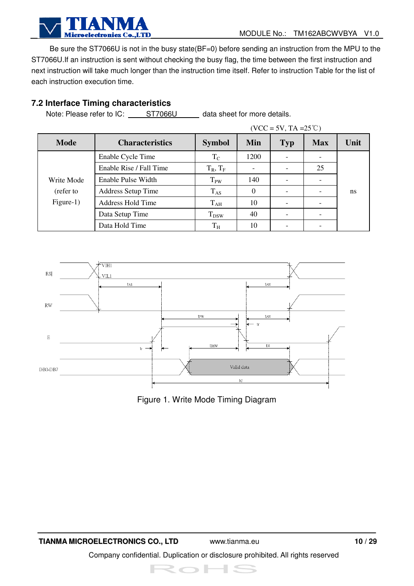

Be sure the ST7066U is not in the busy state(BF=0) before sending an instruction from the MPU to the ST7066U.If an instruction is sent without checking the busy flag, the time between the first instruction and next instruction will take much longer than the instruction time itself. Refer to instruction Table for the list of each instruction execution time.

#### **7.2 Interface Timing characteristics**

Note: Please refer to IC: ST7066U data sheet for more details.

|             |                          |                       |      | $(VCC = 5V, TA = 25^{\circ}C)$ |            |      |
|-------------|--------------------------|-----------------------|------|--------------------------------|------------|------|
| <b>Mode</b> | <b>Characteristics</b>   | <b>Symbol</b>         | Min  | <b>Typ</b>                     | <b>Max</b> | Unit |
|             | Enable Cycle Time        | $T_{\rm C}$           | 1200 |                                |            |      |
|             | Enable Rise / Fall Time  | $T_R$ , $T_F$         |      |                                | 25         |      |
| Write Mode  | Enable Pulse Width       | <b>T<sub>PW</sub></b> | 140  |                                |            |      |
| (refer to   | Address Setup Time       | $T_{AS}$              | 0    |                                |            | ns   |
| $Figure-1)$ | <b>Address Hold Time</b> | $T_{AH}$              | 10   |                                |            |      |
|             | Data Setup Time          | $T_{DSW}$             | 40   |                                |            |      |
|             | Data Hold Time           | $T_{H}$               | 10   |                                |            |      |



Figure 1. Write Mode Timing Diagram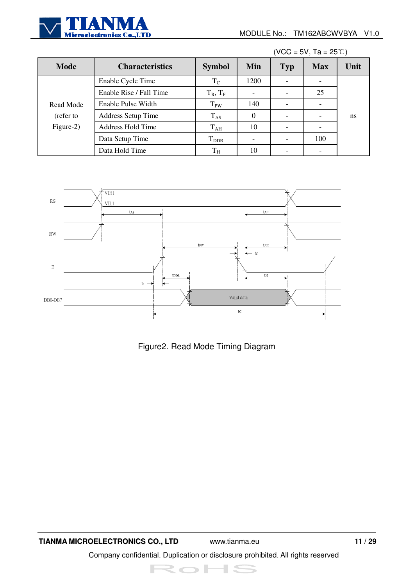

|             |                           |               |          |            | $(VCC = 5V, Ta = 25°C)$ |      |
|-------------|---------------------------|---------------|----------|------------|-------------------------|------|
| <b>Mode</b> | <b>Characteristics</b>    | <b>Symbol</b> | Min      | <b>Typ</b> | <b>Max</b>              | Unit |
|             | Enable Cycle Time         | $\rm T_C$     | 1200     |            |                         |      |
|             | Enable Rise / Fall Time   | $T_R$ , $T_F$ |          |            | 25                      |      |
| Read Mode   | Enable Pulse Width        | $T_{PW}$      | 140      |            |                         |      |
| (refer to   | <b>Address Setup Time</b> | $T_{AS}$      | $\theta$ |            |                         | ns   |
| Figure-2)   | <b>Address Hold Time</b>  | $T_{AH}$      | 10       |            |                         |      |
|             | Data Setup Time           | $T_{\rm DDR}$ |          |            | 100                     |      |
|             | Data Hold Time            | $\rm T_H$     | 10       |            |                         |      |



Figure2. Read Mode Timing Diagram

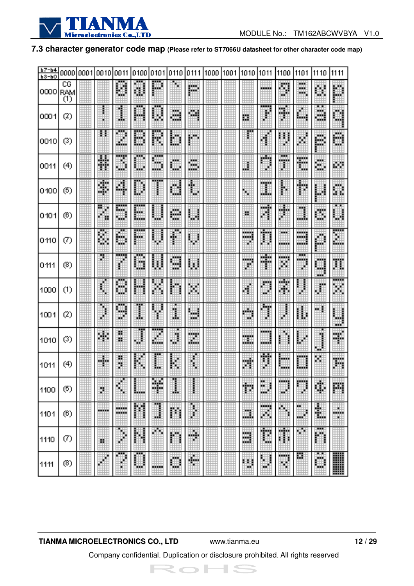

#### **7.3 character generator code map (Please refer to ST7066U datasheet for other character code map)**

| $b7 - b4$    |                  |      |              |         |                     |        |           |              |      |      |           |                    |                             |                      |                  |                        |
|--------------|------------------|------|--------------|---------|---------------------|--------|-----------|--------------|------|------|-----------|--------------------|-----------------------------|----------------------|------------------|------------------------|
| <b>63-60</b> | 0000             | 0001 | 0010         | 0011    | 0100                | 0101   | 0110      | 0111         | 1000 | 1001 | 1010      | 1011               | 1100                        | 1101                 | 1110             | 1111                   |
| 0000         | CG<br>RAM<br>(1) |      |              | Ø       | U                   | ₽      | 虔         | m.           |      |      |           |                    | ÿ                           | man i<br>ж<br>жx,    | ē.               | 巢                      |
| 0001         | $^{(2)}$         |      |              | I       | Ħ                   | Ы      | ä.        | 蝴            |      |      | в         | ł                  | H                           | Ш                    | ä.               | C)                     |
| 0010         | (3)              |      | н            | m<br>Ш  | --<br>B             | R      | D         | 賱            |      |      |           | H                  | U<br>B                      | Ħ                    | H.               | Ø                      |
| 0011         | (4)              |      | Ħ            | B       | ш                   | D      | Ш         | š,           |      |      | U         | 唖<br>¢             | <br>man<br>3                | Ħ                    | ä,               | 躑                      |
| 0100         | (5)              |      | 驒            | 4       | ₽                   |        | d         | $\spadesuit$ |      |      | ٩         | men.<br>Ш          | ľ                           | ⊕                    | Ш                | m.<br>щ                |
| 0101         | (6)              |      | Ħ            | 颐<br>∰  | 瞱<br>ш.             | $\phi$ | W         | ш            |      |      | н         | <b>COLE</b><br>H,  | W.                          | ×.<br>H.             | U,               | 閱                      |
| 0110         | Ø                |      | B            | 踂<br>ш  | <br>Book            |        | Ī         | 壣            |      |      | <br>.     | Ħ                  | man i<br>an ing Kabupatèn K | --<br>---<br>an an I | p                | E                      |
| 0111         | (8)              |      |              |         | 翢                   | W      | 3000<br>U | W            |      |      | <br>×     | ш<br>Ξ             | <b>ANGER</b><br>ш           | <br>.<br>×           | ,,,,,<br>ш<br>w. | Ħ                      |
| 1000         | (1)              |      | II.          | θ       | Ш                   | ×      | Ő         | W.           |      |      | ¢         | D                  | HH.<br>W.                   | j                    | ₽                | <br>×                  |
| 1001         | (2)              |      | l            | w<br>ψb | I                   |        | ï         | Þ            |      |      | et e<br>w | Ĩ                  | j                           | H                    | щ                | U<br>w.                |
| 1010         | (3)              |      | Ш            | 闎<br>ж  | I                   | H      | Ħ         | X.           |      |      | <br>W.    | <b>HOOKS</b><br>щü |                             | ţ,<br>φ              | j<br>ж           | 驒                      |
| 1011         | (4)              |      | H            | ţ       | $\phi^{\rm b}$<br>K |        | K         | 1            |      |      | H         | Ħ                  | <b>BOOK</b><br>an an        | ▦                    | K,               | 躢                      |
| 1100         | (5)              |      | b.           | 侮       | ▦                   | ¥      | j,        |              |      |      | Ť.        | ж<br>н<br>ж<br>m   | <b>HOOKS</b>                | an ng                | ij,              | m                      |
| 1101         | (6)              |      | <b>HOURS</b> | <br>    | Ħ                   | Ш      |           | š            |      |      | ш         | anno 1<br>W,       | 晦                           | ш<br>ш               | E                | ×<br><b>ANGER</b><br>× |
| 1110         | Ø)               |      | ж            | ٠       |                     | Øр     | n         | W            |      |      | ≋         | I.                 | H<br>î                      | ш                    | 爴                |                        |
| 1111         | (8)              |      |              | ш       | ш                   | -----  | ₩<br>w.   | H            |      |      | ш<br>×.   | H<br>m             | m<br>w                      | 鳳                    | ö<br>m.          | W                      |

#### **TIANMA MICROELECTRONICS CO., LTD** www.tianma.eu **12 / 29**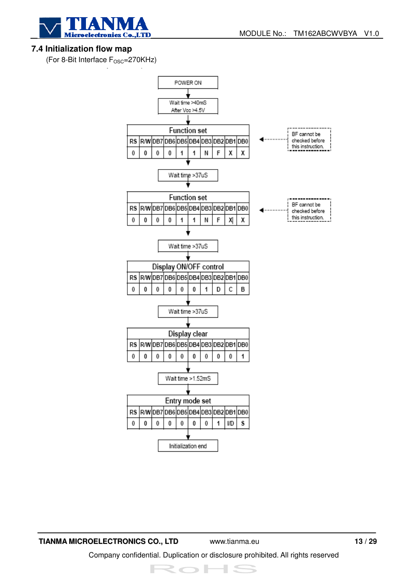

#### **7.4 Initialization flow map**

(For 8-Bit Interface  $F_{\text{OSC}}$ =270KHz)



**TIANMA MICROELECTRONICS CO., LTD** www.tianma.eu **13 / 29**  Company confidential. Duplication or disclosure prohibited. All rights reserved

RoHS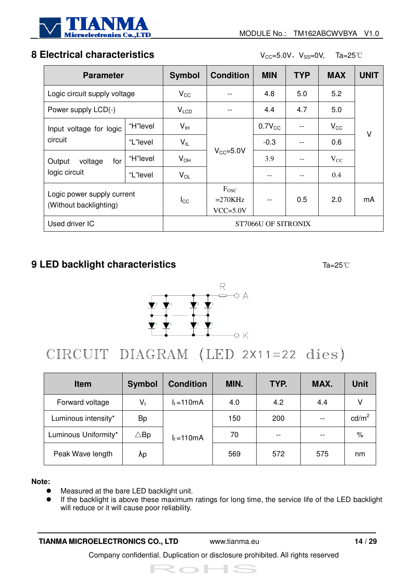

## **8 Electrical characteristics** V<sub>CC</sub>=5.0V, V<sub>SS</sub>=0V, Ta=25<sup>°</sup>C

| <b>Parameter</b>                                     |          | <b>Symbol</b>       | <b>Condition</b>                              | <b>MIN</b>  | <b>TYP</b> | <b>MAX</b>   | <b>UNIT</b> |
|------------------------------------------------------|----------|---------------------|-----------------------------------------------|-------------|------------|--------------|-------------|
| Logic circuit supply voltage                         |          | $V_{\rm CC}$        |                                               | 4.8         | 5.0        | 5.2          |             |
| Power supply LCD(-)                                  |          | V <sub>LCD</sub>    |                                               | 4.4         | 4.7        | 5.0          |             |
| Input voltage for logic<br>circuit                   | "H"level | $V_{\text{IH}}$     |                                               | $0.7V_{CC}$ |            | $V_{\rm CC}$ | V           |
|                                                      | "L"level | $V_{IL}$            |                                               | $-0.3$      |            | 0.6          |             |
| for<br>voltage<br>Output                             | "H"level | $V_{OH}$            | $V_{CC} = 5.0V$                               | 3.9         |            | $V_{CC}$     |             |
| logic circuit                                        | "L"level | $V_{OL}$            |                                               |             |            | 0.4          |             |
| Logic power supply current<br>(Without backlighting) |          | $I_{\rm CC}$        | F <sub>osc</sub><br>$=270KHz$<br>$VCC = 5.0V$ |             | 0.5        | 2.0          | mA          |
| Used driver IC                                       |          | ST7066U OF SITRONIX |                                               |             |            |              |             |

## **9 LED backlight characteristics Ta=25**<sup>°</sup>C



## CIRCUIT DIAGRAM (LED 2X11=22 dies)

| <b>Item</b>          | <b>Symbol</b>  | <b>Condition</b> | MIN. | TYP. | MAX. | <b>Unit</b>     |
|----------------------|----------------|------------------|------|------|------|-----------------|
| Forward voltage      | $V_{f}$        | $I_f = 110mA$    | 4.0  | 4.2  | 4.4  |                 |
| Luminous intensity*  | Bp             |                  | 150  | 200  | $-$  | $\text{cd/m}^2$ |
| Luminous Uniformity* | $\triangle$ Bp | $I_f = 110mA$    | 70   |      |      | %               |
| Peak Wave length     | Λp             |                  | 569  | 572  | 575  | nm              |

#### **Note:**

- $\bullet$  Measured at the bare LED backlight unit.
- If the backlight is above these maximum ratings for long time, the service life of the LED backlight will reduce or it will cause poor reliability.

**TIANMA MICROELECTRONICS CO., LTD** www.tianma.eu **14 / 29**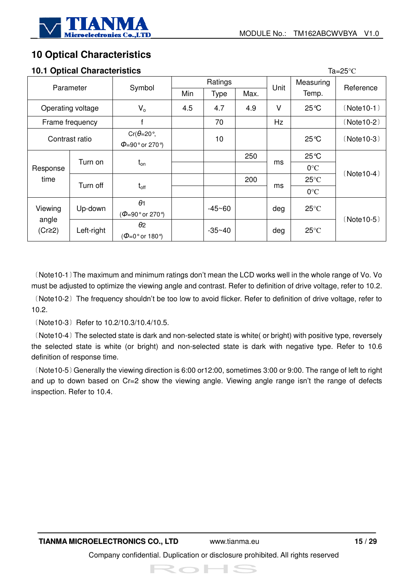

## **10 Optical Characteristics**

#### **10.1 Optical Characteristics** Ta=25°C

| <b>10.1 Optical Onaracteristics</b><br>∪ ن∟−ا |                   |                                           |     |             |      |        |                |               |               |
|-----------------------------------------------|-------------------|-------------------------------------------|-----|-------------|------|--------|----------------|---------------|---------------|
| Parameter                                     |                   | Symbol                                    |     | Ratings     |      | Unit   | Measuring      | Reference     |               |
|                                               |                   |                                           | Min | <b>Type</b> | Max. |        | Temp.          |               |               |
|                                               | Operating voltage | $V_{o}$                                   | 4.5 | 4.7         | 4.9  | $\vee$ | 25°C           | $(Note 10-1)$ |               |
|                                               | Frame frequency   |                                           |     | 70          |      | Hz     |                | $(Note 10-2)$ |               |
|                                               | Contrast ratio    | Cr( $\theta$ =20°,                        |     | 10          |      |        | $25^{\circ}$ C | $(Note 10-3)$ |               |
|                                               |                   | $\Phi = 90^\circ$ or 270 $^\circ$ )       |     |             |      |        |                |               |               |
|                                               | Turn on           |                                           |     |             | 250  | ms     | 25°C           | $(Note10-4)$  |               |
| Response                                      |                   | $t_{on}$                                  |     |             |      |        | $0^{\circ}$ C  |               |               |
| time                                          | Turn off          |                                           |     |             | 200  |        | $25^{\circ}$ C |               |               |
|                                               |                   | $t_{\text{off}}$                          |     |             |      |        | ms             |               | $0^{\circ}$ C |
| Viewing<br>angle                              | Up-down           | $\theta$ 1                                |     | $-45 - 60$  |      | deg    | $25^{\circ}$ C | $(Note 10-5)$ |               |
|                                               |                   | $(\Phi = 90^\circ \text{ or } 270^\circ)$ |     |             |      |        |                |               |               |
| $(Cr \geq 2)$                                 | Left-right        | $\theta$ <sub>2</sub>                     |     | $-35 - 40$  |      | deg    | $25^{\circ}$ C |               |               |
|                                               |                   | ( $\Phi$ =0° or 180°)                     |     |             |      |        |                |               |               |

(Note10-1) The maximum and minimum ratings don't mean the LCD works well in the whole range of Vo. Vo must be adjusted to optimize the viewing angle and contrast. Refer to definition of drive voltage, refer to 10.2.

(Note10-2) The frequency shouldn't be too low to avoid flicker. Refer to definition of drive voltage, refer to 10.2.

(Note10-3) Refer to 10.2/10.3/10.4/10.5.

(Note10-4) The selected state is dark and non-selected state is white( or bright) with positive type, reversely the selected state is white (or bright) and non-selected state is dark with negative type. Refer to 10.6 definition of response time.

(Note10-5) Generally the viewing direction is 6:00 or12:00, sometimes 3:00 or 9:00. The range of left to right and up to down based on Cr=2 show the viewing angle. Viewing angle range isn't the range of defects inspection. Refer to 10.4.

RoHS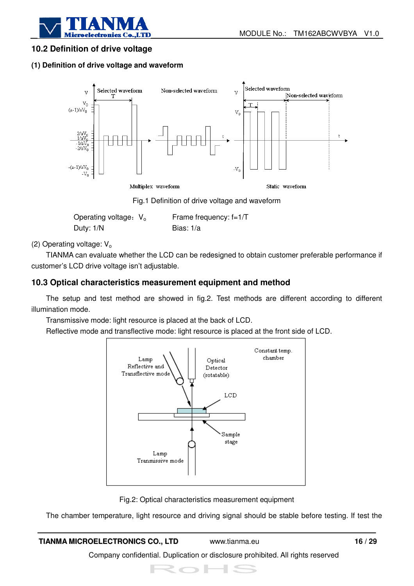

#### **10.2 Definition of drive voltage**

#### **(1) Definition of drive voltage and waveform**



Fig.1 Definition of drive voltage and waveform

| Operating voltage: $V_0$ | Frame frequency: $f=1/T$ |
|--------------------------|--------------------------|
| Duty: 1/N                | Bias: 1/a                |

#### (2) Operating voltage:  $V<sub>o</sub>$

TIANMA can evaluate whether the LCD can be redesigned to obtain customer preferable performance if customer's LCD drive voltage isn't adjustable.

#### **10.3 Optical characteristics measurement equipment and method**

The setup and test method are showed in fig.2. Test methods are different according to different illumination mode.

Transmissive mode: light resource is placed at the back of LCD.

Reflective mode and transflective mode: light resource is placed at the front side of LCD.



Fig.2: Optical characteristics measurement equipment

The chamber temperature, light resource and driving signal should be stable before testing. If test the

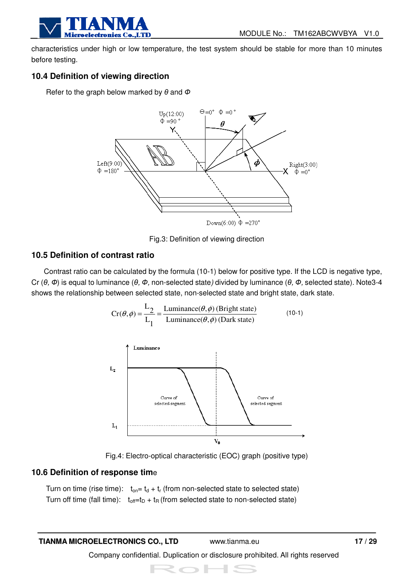

characteristics under high or low temperature, the test system should be stable for more than 10 minutes before testing.

#### **10.4 Definition of viewing direction**

Refer to the graph below marked by  $\theta$  and  $\Phi$ 



Fig.3: Definition of viewing direction

#### **10.5 Definition of contrast ratio**

 Contrast ratio can be calculated by the formula (10-1) below for positive type. If the LCD is negative type, Cr (θ, Φ) is equal to luminance (θ, Φ, non-selected state) divided by luminance (θ, Φ, selected state). Note3-4 shows the relationship between selected state, non-selected state and bright state, dark state.

$$
Cr(\theta, \phi) = \frac{L_2}{L_1} = \frac{\text{Luminance}(\theta, \phi) \text{ (Bright state)}}{\text{Luminance}(\theta, \phi) \text{ (Dark state)}}
$$
(10-1)



Fig.4: Electro-optical characteristic (EOC) graph (positive type)

#### **10.6 Definition of response tim**e

Turn on time (rise time):  $t_{on} = t_d + t_r$  (from non-selected state to selected state) Turn off time (fall time):  $t_{off}=t_D + t_R$  (from selected state to non-selected state)

#### **TIANMA MICROELECTRONICS CO., LTD** www.tianma.eu **17 / 29**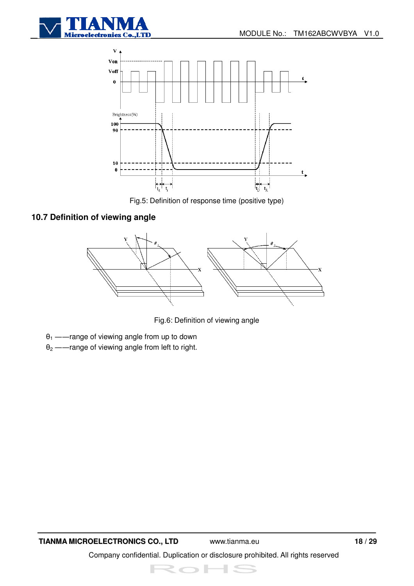



Fig.5: Definition of response time (positive type)

#### **10.7 Definition of viewing angle**



Fig.6: Definition of viewing angle

- $\theta_1$  ——range of viewing angle from up to down
- $\theta_2$  ——range of viewing angle from left to right.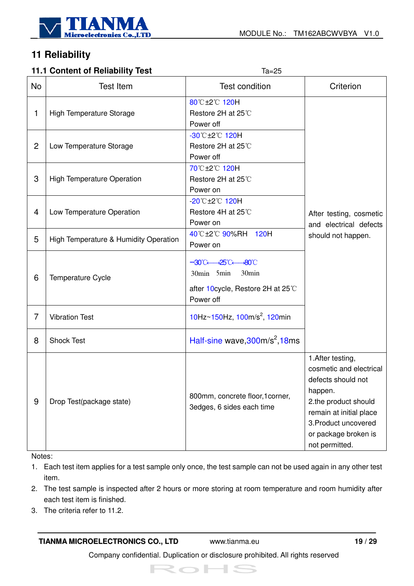

## **11 Reliability**

#### **11.1 Content of Reliability Test** Ta=25

|                | 11.1 CONTENT OF BEHADING TEST                                                                                                                              | c>=bi                                                                   |                                                                                                                                                                                                    |  |  |
|----------------|------------------------------------------------------------------------------------------------------------------------------------------------------------|-------------------------------------------------------------------------|----------------------------------------------------------------------------------------------------------------------------------------------------------------------------------------------------|--|--|
| No             | <b>Test Item</b>                                                                                                                                           | <b>Test condition</b>                                                   | Criterion                                                                                                                                                                                          |  |  |
| 1              | High Temperature Storage                                                                                                                                   | 80℃±2℃ 120H<br>Restore 2H at 25℃<br>Power off                           |                                                                                                                                                                                                    |  |  |
| $\overline{2}$ | Low Temperature Storage                                                                                                                                    | -30°C±2°C 120H<br>Restore 2H at 25°C<br>Power off                       |                                                                                                                                                                                                    |  |  |
| 3              | <b>High Temperature Operation</b>                                                                                                                          | 70℃±2℃ 120H<br>Restore 2H at 25°C<br>Power on                           |                                                                                                                                                                                                    |  |  |
| 4              | Low Temperature Operation                                                                                                                                  | $-20^{\circ}$ C $\pm 2^{\circ}$ C 120H<br>Restore 4H at 25℃<br>Power on | After testing, cosmetic<br>and electrical defects                                                                                                                                                  |  |  |
| 5              | High Temperature & Humidity Operation                                                                                                                      | 40℃±2℃ 90%RH 120H<br>Power on                                           |                                                                                                                                                                                                    |  |  |
| 6              | $-30^{\circ}$ C $-25^{\circ}$ C $-80^{\circ}$ C<br>30 <sub>min</sub><br>30min 5min<br>Temperature Cycle<br>after 10 cycle, Restore 2H at 25°C<br>Power off |                                                                         |                                                                                                                                                                                                    |  |  |
| 7              | <b>Vibration Test</b>                                                                                                                                      | 10Hz $\sim$ 150Hz, 100m/s <sup>2</sup> , 120min                         |                                                                                                                                                                                                    |  |  |
| 8              | <b>Shock Test</b>                                                                                                                                          | Half-sine wave, $300m/s^2$ , 18ms                                       |                                                                                                                                                                                                    |  |  |
| 9              | Drop Test(package state)                                                                                                                                   | 800mm, concrete floor, 1 corner,<br>3edges, 6 sides each time           | 1. After testing,<br>cosmetic and electrical<br>defects should not<br>happen.<br>2.the product should<br>remain at initial place<br>3. Product uncovered<br>or package broken is<br>not permitted. |  |  |

Notes:

1. Each test item applies for a test sample only once, the test sample can not be used again in any other test item.

- 2. The test sample is inspected after 2 hours or more storing at room temperature and room humidity after each test item is finished.
- 3. The criteria refer to 11.2.

#### **TIANMA MICROELECTRONICS CO., LTD** www.tianma.eu **19 / 29**

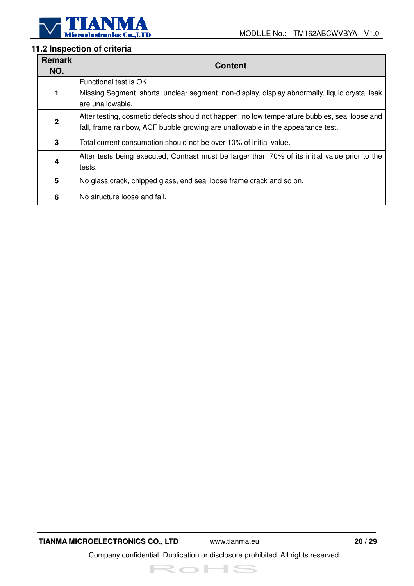

#### **11.2 Inspection of criteria**

| <b>Remark</b><br>NO.    | <b>Content</b>                                                                                                                                                                   |
|-------------------------|----------------------------------------------------------------------------------------------------------------------------------------------------------------------------------|
| 1                       | Functional test is OK.<br>Missing Segment, shorts, unclear segment, non-display, display abnormally, liquid crystal leak<br>are unallowable.                                     |
| $\mathbf 2$             | After testing, cosmetic defects should not happen, no low temperature bubbles, seal loose and<br>fall, frame rainbow, ACF bubble growing are unallowable in the appearance test. |
| 3                       | Total current consumption should not be over 10% of initial value.                                                                                                               |
| $\overline{\mathbf{4}}$ | After tests being executed, Contrast must be larger than 70% of its initial value prior to the<br>tests.                                                                         |
| 5                       | No glass crack, chipped glass, end seal loose frame crack and so on.                                                                                                             |
| 6                       | No structure loose and fall.                                                                                                                                                     |

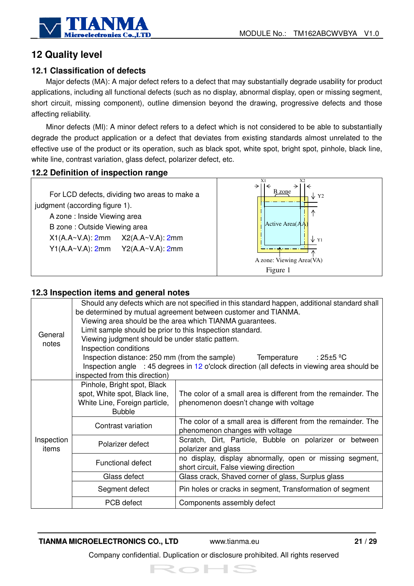

## **12 Quality level**

#### **12.1 Classification of defects**

Major defects (MA): A major defect refers to a defect that may substantially degrade usability for product applications, including all functional defects (such as no display, abnormal display, open or missing segment, short circuit, missing component), outline dimension beyond the drawing, progressive defects and those affecting reliability.

Minor defects (MI): A minor defect refers to a defect which is not considered to be able to substantially degrade the product application or a defect that deviates from existing standards almost unrelated to the effective use of the product or its operation, such as black spot, white spot, bright spot, pinhole, black line, white line, contrast variation, glass defect, polarizer defect, etc.

#### **12.2 Definition of inspection range**



#### **12.3 Inspection items and general notes**

|                  | Should any defects which are not specified in this standard happen, additional standard shall<br>be determined by mutual agreement between customer and TIANMA. |                                                                                                   |  |  |  |  |
|------------------|-----------------------------------------------------------------------------------------------------------------------------------------------------------------|---------------------------------------------------------------------------------------------------|--|--|--|--|
|                  |                                                                                                                                                                 | Viewing area should be the area which TIANMA guarantees.                                          |  |  |  |  |
|                  | Limit sample should be prior to this Inspection standard.                                                                                                       |                                                                                                   |  |  |  |  |
| General<br>notes | Viewing judgment should be under static pattern.                                                                                                                |                                                                                                   |  |  |  |  |
|                  | Inspection conditions                                                                                                                                           |                                                                                                   |  |  |  |  |
|                  |                                                                                                                                                                 | Inspection distance: 250 mm (from the sample) Temperature<br>$:25\pm5$ ºC                         |  |  |  |  |
|                  |                                                                                                                                                                 | Inspection angle : 45 degrees in 12 o'clock direction (all defects in viewing area should be      |  |  |  |  |
|                  | inspected from this direction)                                                                                                                                  |                                                                                                   |  |  |  |  |
|                  | Pinhole, Bright spot, Black                                                                                                                                     |                                                                                                   |  |  |  |  |
|                  | spot, White spot, Black line,                                                                                                                                   | The color of a small area is different from the remainder. The                                    |  |  |  |  |
|                  | White Line, Foreign particle,                                                                                                                                   | phenomenon doesn't change with voltage                                                            |  |  |  |  |
|                  | <b>Bubble</b>                                                                                                                                                   |                                                                                                   |  |  |  |  |
|                  | Contrast variation                                                                                                                                              | The color of a small area is different from the remainder. The<br>phenomenon changes with voltage |  |  |  |  |
| Inspection       | Polarizer defect                                                                                                                                                | Scratch, Dirt, Particle, Bubble on polarizer or between                                           |  |  |  |  |
| items            |                                                                                                                                                                 | polarizer and glass                                                                               |  |  |  |  |
|                  | <b>Functional defect</b>                                                                                                                                        | no display, display abnormally, open or missing segment,                                          |  |  |  |  |
|                  |                                                                                                                                                                 | short circuit, False viewing direction                                                            |  |  |  |  |
|                  | Glass defect                                                                                                                                                    | Glass crack, Shaved corner of glass, Surplus glass                                                |  |  |  |  |
|                  | Segment defect                                                                                                                                                  | Pin holes or cracks in segment, Transformation of segment                                         |  |  |  |  |
|                  | PCB defect                                                                                                                                                      | Components assembly defect                                                                        |  |  |  |  |

**TIANMA MICROELECTRONICS CO., LTD** www.tianma.eu **21 / 29**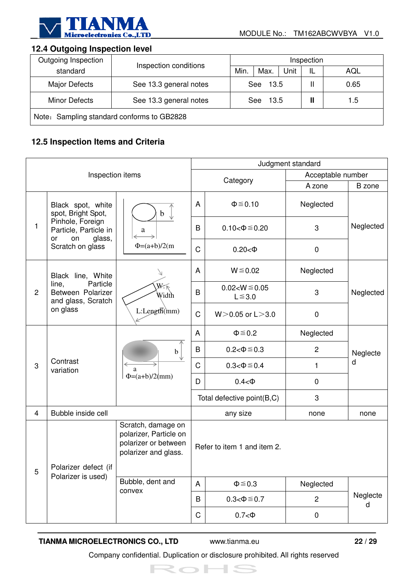

#### **12.4 Outgoing Inspection level**

| Outgoing Inspection                        | Inspection conditions                 |  | Inspection  |      |     |      |  |
|--------------------------------------------|---------------------------------------|--|-------------|------|-----|------|--|
| standard                                   |                                       |  | Max.        | Unit | IL  | AQL  |  |
| <b>Major Defects</b>                       | See 13.3 general notes                |  | 13.5<br>See |      |     | 0.65 |  |
| <b>Minor Defects</b>                       | See 13.3 general notes<br>13.5<br>See |  |             |      | 1.5 |      |  |
| Note: Sampling standard conforms to GB2828 |                                       |  |             |      |     |      |  |

#### **12.5 Inspection Items and Criteria**

|                  |                                                                 |                                                                                              | Judgment standard |                                    |                   |               |  |  |  |
|------------------|-----------------------------------------------------------------|----------------------------------------------------------------------------------------------|-------------------|------------------------------------|-------------------|---------------|--|--|--|
| Inspection items |                                                                 |                                                                                              |                   | Category                           | Acceptable number |               |  |  |  |
|                  |                                                                 |                                                                                              |                   |                                    | A zone            | B zone        |  |  |  |
|                  | Black spot, white<br>spot, Bright Spot,                         | b                                                                                            | A                 | $\Phi \leq 0.10$                   | Neglected         |               |  |  |  |
| 1                | Pinhole, Foreign<br>Particle, Particle in<br>glass,<br>or<br>on | a                                                                                            |                   | $0.10 < \Phi \le 0.20$             | 3                 | Neglected     |  |  |  |
|                  | Scratch on glass                                                | $\Phi = (a+b)/2(m)$                                                                          | $\mathsf C$       | $0.20 < \Phi$                      | $\pmb{0}$         |               |  |  |  |
|                  | Black line, White                                               |                                                                                              | A                 | $W \le 0.02$                       | Neglected         |               |  |  |  |
| $\overline{c}$   | Particle<br>line,<br>Between Polarizer<br>and glass, Scratch    | $W_{\cdot}\ltimes$<br>Width                                                                  |                   | $0.02 < W \le 0.05$<br>$L \le 3.0$ | 3                 | Neglected     |  |  |  |
| on glass         |                                                                 | L:Length(mm)                                                                                 | $\mathsf C$       | $W > 0.05$ or L $> 3.0$            | $\mathbf 0$       |               |  |  |  |
|                  | Contrast<br>variation                                           | $\mathbf b$<br>a<br>$\Phi = (a+b)/2$ (mm)                                                    | A                 | $\Phi \leq 0.2$                    | Neglected         |               |  |  |  |
|                  |                                                                 |                                                                                              | B                 | $0.2 < \Phi \le 0.3$               | $\overline{c}$    | Neglecte      |  |  |  |
| 3                |                                                                 |                                                                                              | C                 | $0.3 < \Phi \le 0.4$               | 1                 | d             |  |  |  |
|                  |                                                                 |                                                                                              | D                 | $0.4<\Phi$                         | $\boldsymbol{0}$  |               |  |  |  |
|                  |                                                                 |                                                                                              |                   | Total defective point(B,C)         | 3                 |               |  |  |  |
| $\overline{4}$   | Bubble inside cell                                              |                                                                                              |                   | any size                           | none              | none          |  |  |  |
| b                | Polarizer defect (if                                            | Scratch, damage on<br>polarizer, Particle on<br>polarizer or between<br>polarizer and glass. |                   | Refer to item 1 and item 2.        |                   |               |  |  |  |
|                  | Polarizer is used)                                              | Bubble, dent and                                                                             | A                 | $\Phi \leq 0.3$                    | Neglected         |               |  |  |  |
|                  |                                                                 | convex                                                                                       | B                 | $0.3 < \Phi \le 0.7$               | $\overline{c}$    | Neglecte<br>d |  |  |  |
|                  |                                                                 |                                                                                              | C                 | $0.7<\Phi$                         | $\pmb{0}$         |               |  |  |  |

#### **TIANMA MICROELECTRONICS CO., LTD** www.tianma.eu **22 / 29**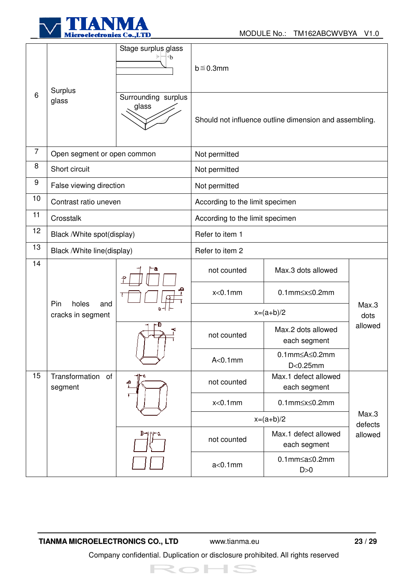

|                | Surplus                                  | Stage surplus glass<br>⊕     | $b \leq 0.3$ mm                                        |                                               |                    |  |  |
|----------------|------------------------------------------|------------------------------|--------------------------------------------------------|-----------------------------------------------|--------------------|--|--|
| 6              | glass                                    | Surrounding surplus<br>glass | Should not influence outline dimension and assembling. |                                               |                    |  |  |
| $\overline{7}$ | Open segment or open common              |                              | Not permitted                                          |                                               |                    |  |  |
| 8              | Short circuit                            |                              | Not permitted                                          |                                               |                    |  |  |
| 9              | False viewing direction                  |                              | Not permitted                                          |                                               |                    |  |  |
| 10             | Contrast ratio uneven                    |                              | According to the limit specimen                        |                                               |                    |  |  |
| 11             | Crosstalk                                |                              | According to the limit specimen                        |                                               |                    |  |  |
| 12             | Black / White spot(display)              |                              | Refer to item 1                                        |                                               |                    |  |  |
| 13             | Black /White line(display)               |                              | Refer to item 2                                        |                                               |                    |  |  |
| 14             |                                          |                              | not counted                                            | Max.3 dots allowed                            |                    |  |  |
|                |                                          |                              | $x<0.1$ mm                                             | $0.1$ mm $\leq$ x $\leq$ 0.2mm                |                    |  |  |
|                | Pin<br>holes<br>and<br>cracks in segment |                              | $x=(a+b)/2$                                            |                                               | Max.3<br>dots      |  |  |
|                |                                          | r-D                          | not counted                                            | Max.2 dots allowed<br>each segment            | allowed            |  |  |
|                |                                          |                              | $A<0.1$ mm                                             | $0.1$ mm $\leq$ A $\leq$ 0.2mm<br>$D<0.25$ mm |                    |  |  |
| 15             | Transformation of<br>segment             | م                            | not counted                                            | Max.1 defect allowed<br>each segment          |                    |  |  |
|                |                                          |                              | $x<0.1$ mm                                             | $0.1$ mm $\leq$ x $\leq$ 0.2mm                | Max.3              |  |  |
|                |                                          |                              | $x=(a+b)/2$                                            |                                               |                    |  |  |
|                |                                          |                              | not counted                                            | Max.1 defect allowed<br>each segment          | defects<br>allowed |  |  |
|                |                                          |                              | $a<0.1$ mm                                             | $0.1$ mm $\leq a \leq 0.2$ mm<br>D>0          |                    |  |  |

**TIANMA MICROELECTRONICS CO., LTD** www.tianma.eu **23 / 29**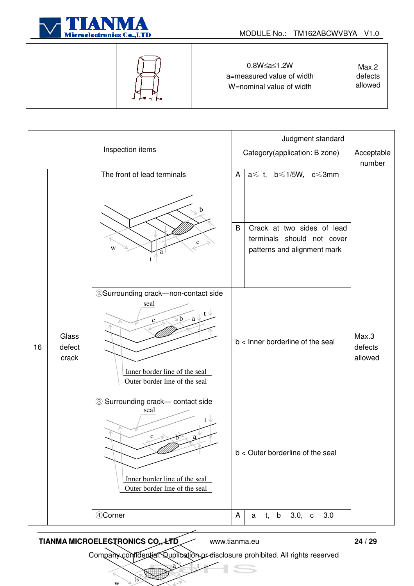

|  |  |  | 0.8W≤a≤1.2W<br>a=measured value of width<br>W=nominal value of width | Max.2<br>defects<br>allowed |
|--|--|--|----------------------------------------------------------------------|-----------------------------|
|--|--|--|----------------------------------------------------------------------|-----------------------------|

|                  |                          |                                                                                                                                                     | Judgment standard                                     |                                                                                                                                      |                             |  |
|------------------|--------------------------|-----------------------------------------------------------------------------------------------------------------------------------------------------|-------------------------------------------------------|--------------------------------------------------------------------------------------------------------------------------------------|-----------------------------|--|
| Inspection items |                          |                                                                                                                                                     | Category(application: B zone)<br>Acceptable<br>number |                                                                                                                                      |                             |  |
|                  |                          | The front of lead terminals<br>$\mathbf c$<br>W<br>a                                                                                                | $\mathsf{A}$<br>B                                     | $a \leq t$ , $b \leq 1/5W$ , $c \leq 3mm$<br>Crack at two sides of lead<br>terminals should not cover<br>patterns and alignment mark |                             |  |
| 16               | Glass<br>defect<br>crack | 2) Surrounding crack-non-contact side<br>seal<br>$\sqrt{b}$<br>-a<br>$\mathbf{c}$<br>Inner border line of the seal<br>Outer border line of the seal |                                                       | b < Inner borderline of the seal                                                                                                     | Max.3<br>defects<br>allowed |  |
|                  |                          | 3 Surrounding crack- contact side<br>seal<br>c<br>Inner border line of the seal<br>Outer border line of the seal                                    | b < Outer borderline of the seal                      |                                                                                                                                      |                             |  |
|                  |                          | 4Corner                                                                                                                                             | A                                                     | 3.0, c<br>t, b<br>3.0<br>a                                                                                                           |                             |  |

#### **TIANMA MICROELECTRONICS CO., LTD.** www.tianma.eu 24 / 29

 $\overline{w}$ 

 $\bigcirc$ 

 $\Rightarrow$ 

Company confidential. Duplication or disclosure prohibited. All rights reserved

 $a \rightarrow t$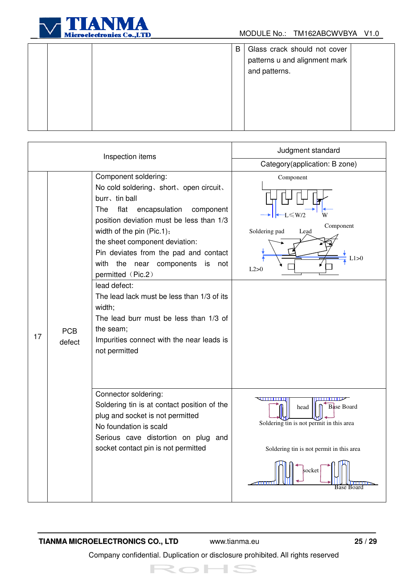

|  | B | Glass crack should not cover  |  |
|--|---|-------------------------------|--|
|  |   | patterns u and alignment mark |  |
|  |   | and patterns.                 |  |
|  |   |                               |  |
|  |   |                               |  |
|  |   |                               |  |
|  |   |                               |  |
|  |   |                               |  |
|  |   |                               |  |

|    |                      | Inspection items                                                                                                                                                                                                                                                                                                                                                                                                                                                                                                                                    | Judgment standard                                                                                                                                                    |
|----|----------------------|-----------------------------------------------------------------------------------------------------------------------------------------------------------------------------------------------------------------------------------------------------------------------------------------------------------------------------------------------------------------------------------------------------------------------------------------------------------------------------------------------------------------------------------------------------|----------------------------------------------------------------------------------------------------------------------------------------------------------------------|
|    |                      |                                                                                                                                                                                                                                                                                                                                                                                                                                                                                                                                                     | Category(application: B zone)                                                                                                                                        |
| 17 | <b>PCB</b><br>defect | Component soldering:<br>No cold soldering, short, open circuit,<br>burr, tin ball<br>flat<br>encapsulation<br>The<br>component<br>position deviation must be less than 1/3<br>width of the pin (Pic.1);<br>the sheet component deviation:<br>Pin deviates from the pad and contact<br>with<br>the near<br>components<br>is<br>not<br>permitted (Pic.2)<br>lead defect:<br>The lead lack must be less than 1/3 of its<br>width;<br>The lead burr must be less than 1/3 of<br>the seam;<br>Impurities connect with the near leads is<br>not permitted | Component<br>$\leq W/2$<br>Component<br>Soldering pad<br>Lead<br>L1>0<br>L2>0                                                                                        |
|    |                      | Connector soldering:<br>Soldering tin is at contact position of the<br>plug and socket is not permitted<br>No foundation is scald<br>Serious cave distortion on plug and<br>socket contact pin is not permitted                                                                                                                                                                                                                                                                                                                                     | पापापाए<br><del>.</del><br><b>Base Board</b><br>head<br>Soldering tin is not permit in this area<br>Soldering tin is not permit in this area<br>socket<br>Base Board |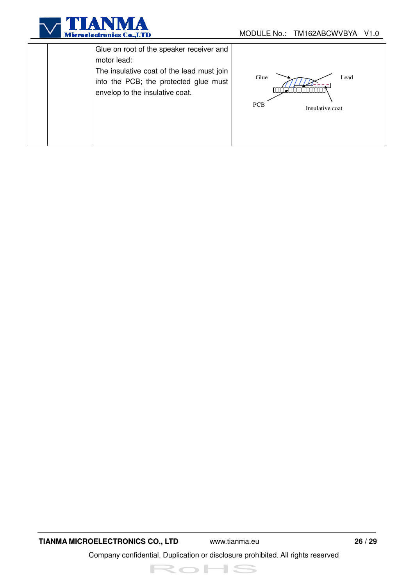

|  | Glue on root of the speaker receiver and<br>motor lead:<br>The insulative coat of the lead must join<br>into the PCB; the protected glue must<br>envelop to the insulative coat. | Lead<br>Glue<br><b>PCB</b><br>Insulative coat |
|--|----------------------------------------------------------------------------------------------------------------------------------------------------------------------------------|-----------------------------------------------|
|--|----------------------------------------------------------------------------------------------------------------------------------------------------------------------------------|-----------------------------------------------|

**TIANMA MICROELECTRONICS CO., LTD** www.tianma.eu **26 / 29**  Company confidential. Duplication or disclosure prohibited. All rights reserved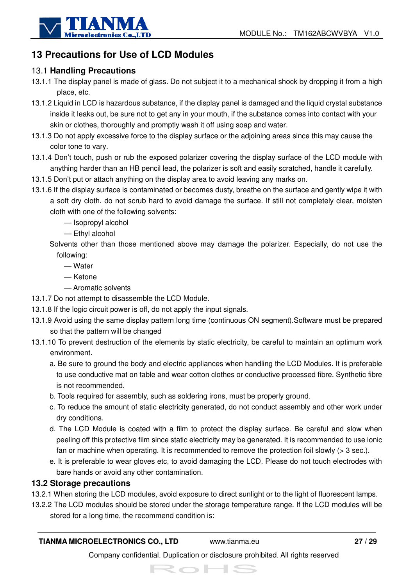

## **13 Precautions for Use of LCD Modules**

#### 13.1 **Handling Precautions**

- 13.1.1 The display panel is made of glass. Do not subject it to a mechanical shock by dropping it from a high place, etc.
- 13.1.2 Liquid in LCD is hazardous substance, if the display panel is damaged and the liquid crystal substance inside it leaks out, be sure not to get any in your mouth, if the substance comes into contact with your skin or clothes, thoroughly and promptly wash it off using soap and water.
- 13.1.3 Do not apply excessive force to the display surface or the adjoining areas since this may cause the color tone to vary.
- 13.1.4 Don't touch, push or rub the exposed polarizer covering the display surface of the LCD module with anything harder than an HB pencil lead, the polarizer is soft and easily scratched, handle it carefully.
- 13.1.5 Don't put or attach anything on the display area to avoid leaving any marks on.
- 13.1.6 If the display surface is contaminated or becomes dusty, breathe on the surface and gently wipe it with a soft dry cloth. do not scrub hard to avoid damage the surface. If still not completely clear, moisten cloth with one of the following solvents:

— Isopropyl alcohol

- Ethyl alcohol
- Solvents other than those mentioned above may damage the polarizer. Especially, do not use the following:
	- Water
	- Ketone
	- Aromatic solvents
- 13.1.7 Do not attempt to disassemble the LCD Module.
- 13.1.8 If the logic circuit power is off, do not apply the input signals.
- 13.1.9 Avoid using the same display pattern long time (continuous ON segment).Software must be prepared so that the pattern will be changed
- 13.1.10 To prevent destruction of the elements by static electricity, be careful to maintain an optimum work environment.
	- a. Be sure to ground the body and electric appliances when handling the LCD Modules. It is preferable to use conductive mat on table and wear cotton clothes or conductive processed fibre. Synthetic fibre is not recommended.
	- b. Tools required for assembly, such as soldering irons, must be properly ground.
	- c. To reduce the amount of static electricity generated, do not conduct assembly and other work under dry conditions.
	- d. The LCD Module is coated with a film to protect the display surface. Be careful and slow when peeling off this protective film since static electricity may be generated. It is recommended to use ionic fan or machine when operating. It is recommended to remove the protection foil slowly  $(> 3 \text{ sec.})$ .
	- e. It is preferable to wear gloves etc, to avoid damaging the LCD. Please do not touch electrodes with bare hands or avoid any other contamination.

#### **13.2 Storage precautions**

- 13.2.1 When storing the LCD modules, avoid exposure to direct sunlight or to the light of fluorescent lamps.
- 13.2.2 The LCD modules should be stored under the storage temperature range. If the LCD modules will be stored for a long time, the recommend condition is:

#### **TIANMA MICROELECTRONICS CO., LTD** www.tianma.eu **27 / 29**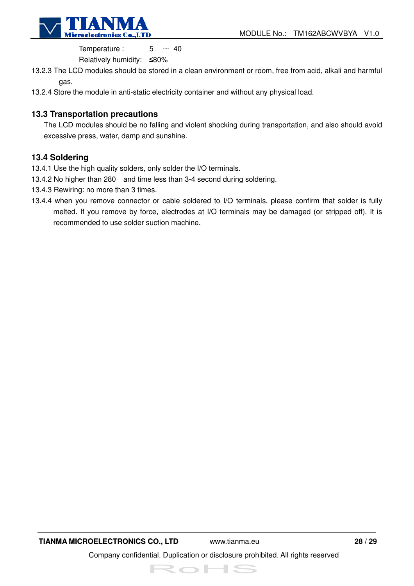

Temperature :  $5 \sim 40$ 

Relatively humidity: ≤80%

- 13.2.3 The LCD modules should be stored in a clean environment or room, free from acid, alkali and harmful gas.
- 13.2.4 Store the module in anti-static electricity container and without any physical load.

#### **13.3 Transportation precautions**

The LCD modules should be no falling and violent shocking during transportation, and also should avoid excessive press, water, damp and sunshine.

#### **13.4 Soldering**

- 13.4.1 Use the high quality solders, only solder the I/O terminals.
- 13.4.2 No higher than 280 and time less than 3-4 second during soldering.
- 13.4.3 Rewiring: no more than 3 times.
- 13.4.4 when you remove connector or cable soldered to I/O terminals, please confirm that solder is fully melted. If you remove by force, electrodes at I/O terminals may be damaged (or stripped off). It is recommended to use solder suction machine.